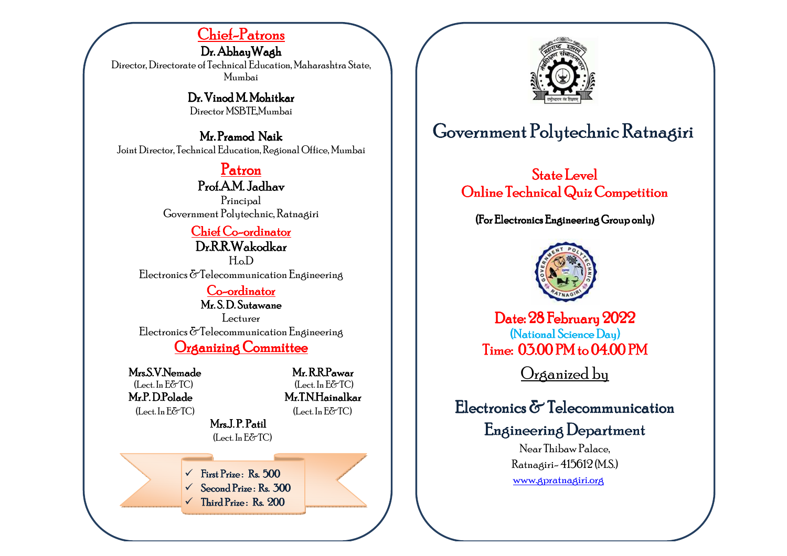# <u>Chief-Patrons</u>

Dr. Abhay Wagh Director, Directorate of Technical Education, Maharashtra State, Mumbai

> Dr. Vinod M. Mohitkar Director MSBTE,Mumbai

Mr. Pramod Naik Joint Director, Technical Education, Regional Office, Mumbai

# Patron

Prof.A.M. Jadhav Principal Government Polytechnic, Ratnagiri

## <u>Chief Co-ordinator</u> Dr.R.R.Wakodkar

H.o.D Electronics &Telecommunication Engineering

### <u>Co-ordinator</u>

Mr. S. D. Sutawane

Lecturer Electronics & Telecommunication Engineering

Organizing Committee

Mrs.S.V.Nemade

Mr.P. D.Polade

 Mr. R.R.Pawar R.R.Pawar  $(Let. In E\&T\&C)$   $(Let. In E\&T\&C)$ (**1.P.D.Polade Mr.T.N.Hainalkar**<br>(Lect.In E&TC) (Lect.In E&TC)  $(Let, In E\&T\)$ 

 $MrsJ.P.Patil$ (Lect. In E&TC)

> ✓ First Prize: Rs. 500

✓ Second Prize : Rs. 300

✓ Third Prize: Rs. 200



# Government Polytechnic Ratnagiri

State Level Online Technical Quiz Competition

(For Electronics Engineering Group only)



 $\mathrm{Date:} 28\mathrm{\,Fe}$ bruary $2022$ (National Science Day) Time:  $05.00$  PM to  $04.00$  PM

Organized by

# Electronics & Telecommunication

Engineering Department

Near Thibaw Palace, Ratnagiri- 415612 (M.S.)

www.gpratnagiri.org